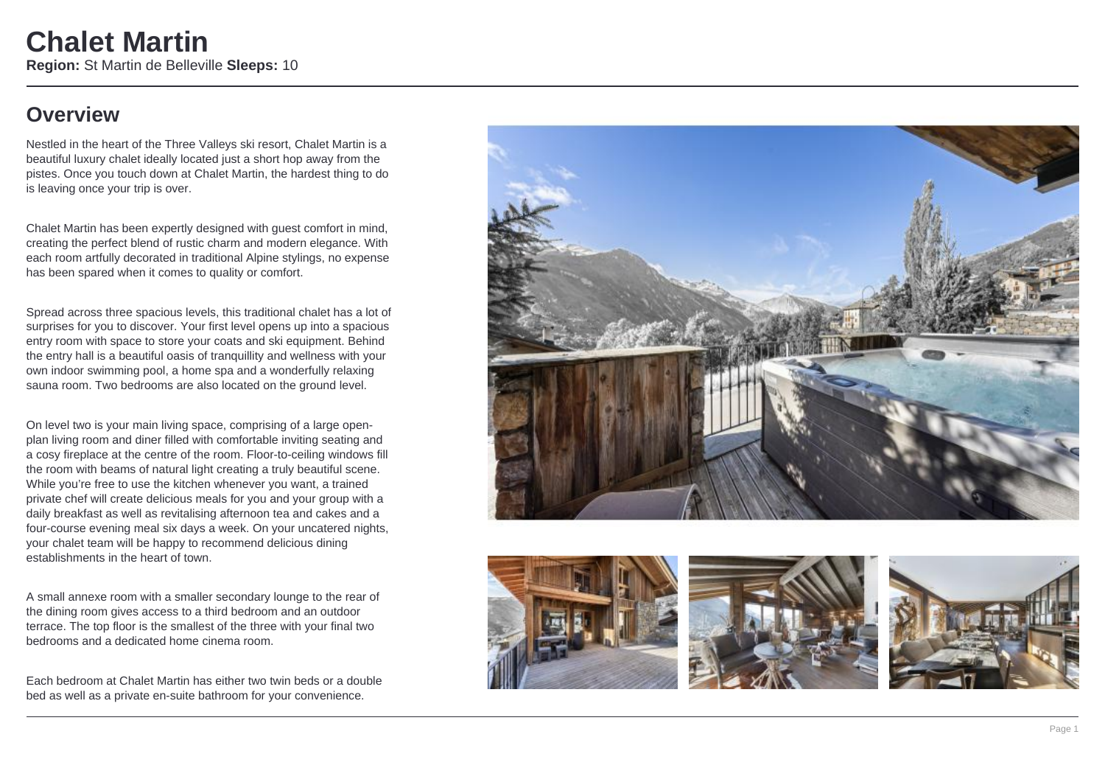### **Overview**

Nestled in the heart of the Three Valleys ski resort, Chalet Martin is a beautiful luxury chalet ideally located just a short hop away from the pistes. Once you touch down at Chalet Martin, the hardest thing to do is leaving once your trip is over.

Chalet Martin has been expertly designed with guest comfort in mind, creating the perfect blend of rustic charm and modern elegance. With each room artfully decorated in traditional Alpine stylings, no expense has been spared when it comes to quality or comfort.

Spread across three spacious levels, this traditional chalet has a lot of surprises for you to discover. Your first level opens up into a spacious entry room with space to store your coats and ski equipment. Behind the entry hall is a beautiful oasis of tranquillity and wellness with your own indoor swimming pool, a home spa and a wonderfully relaxing sauna room. Two bedrooms are also located on the ground level.

On level two is your main living space, comprising of a large openplan living room and diner filled with comfortable inviting seating and a cosy fireplace at the centre of the room. Floor-to-ceiling windows fill the room with beams of natural light creating a truly beautiful scene. While you're free to use the kitchen whenever you want, a trained private chef will create delicious meals for you and your group with a daily breakfast as well as revitalising afternoon tea and cakes and a four-course evening meal six days a week. On your uncatered nights, your chalet team will be happy to recommend delicious dining establishments in the heart of town.

A small annexe room with a smaller secondary lounge to the rear of the dining room gives access to a third bedroom and an outdoor terrace. The top floor is the smallest of the three with your final two bedrooms and a dedicated home cinema room.

Each bedroom at Chalet Martin has either two twin beds or a double bed as well as a private en-suite bathroom for your convenience.







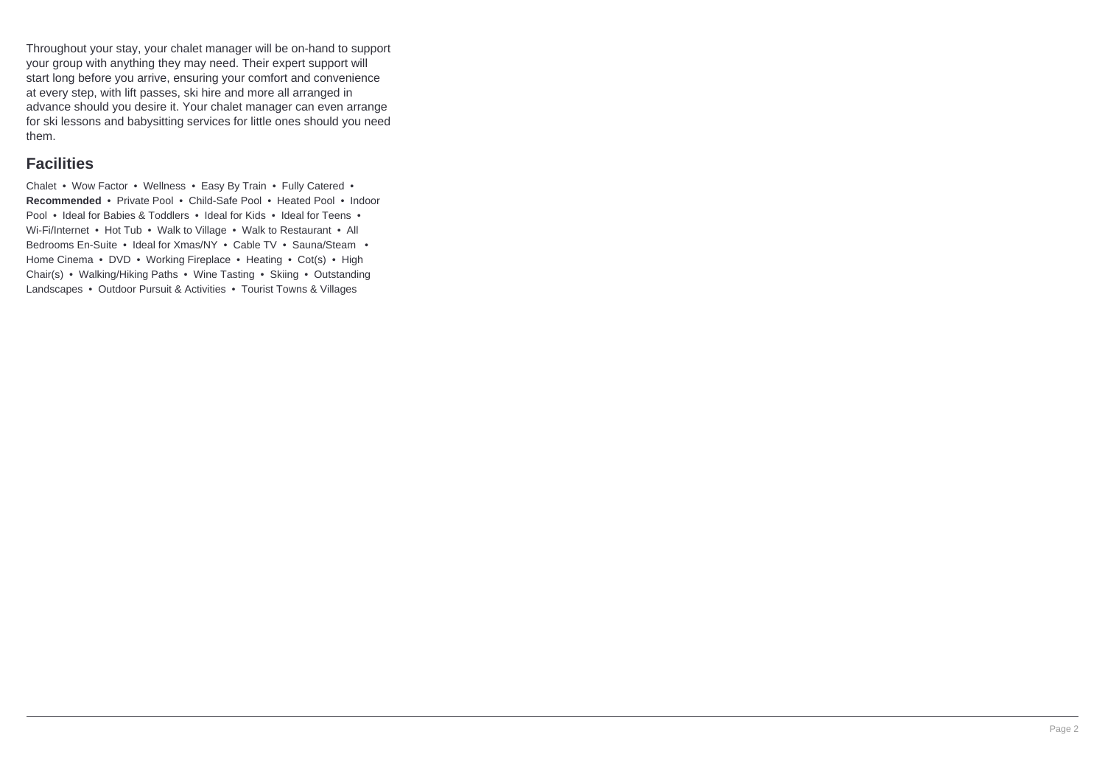Throughout your stay, your chalet manager will be on-hand to support your group with anything they may need. Their expert support will start long before you arrive, ensuring your comfort and convenience at every step, with lift passes, ski hire and more all arranged in advance should you desire it. Your chalet manager can even arrange for ski lessons and babysitting services for little ones should you need them.

#### **Facilities**

Chalet • Wow Factor • Wellness • Easy By Train • Fully Catered • **Recommended** • Private Pool • Child-Safe Pool • Heated Pool • Indoor Pool • Ideal for Babies & Toddlers • Ideal for Kids • Ideal for Teens • Wi-Fi/Internet • Hot Tub • Walk to Village • Walk to Restaurant • All Bedrooms En-Suite • Ideal for Xmas/NY • Cable TV • Sauna/Steam • Home Cinema • DVD • Working Fireplace • Heating • Cot(s) • High Chair(s) • Walking/Hiking Paths • Wine Tasting • Skiing • Outstanding Landscapes • Outdoor Pursuit & Activities • Tourist Towns & Villages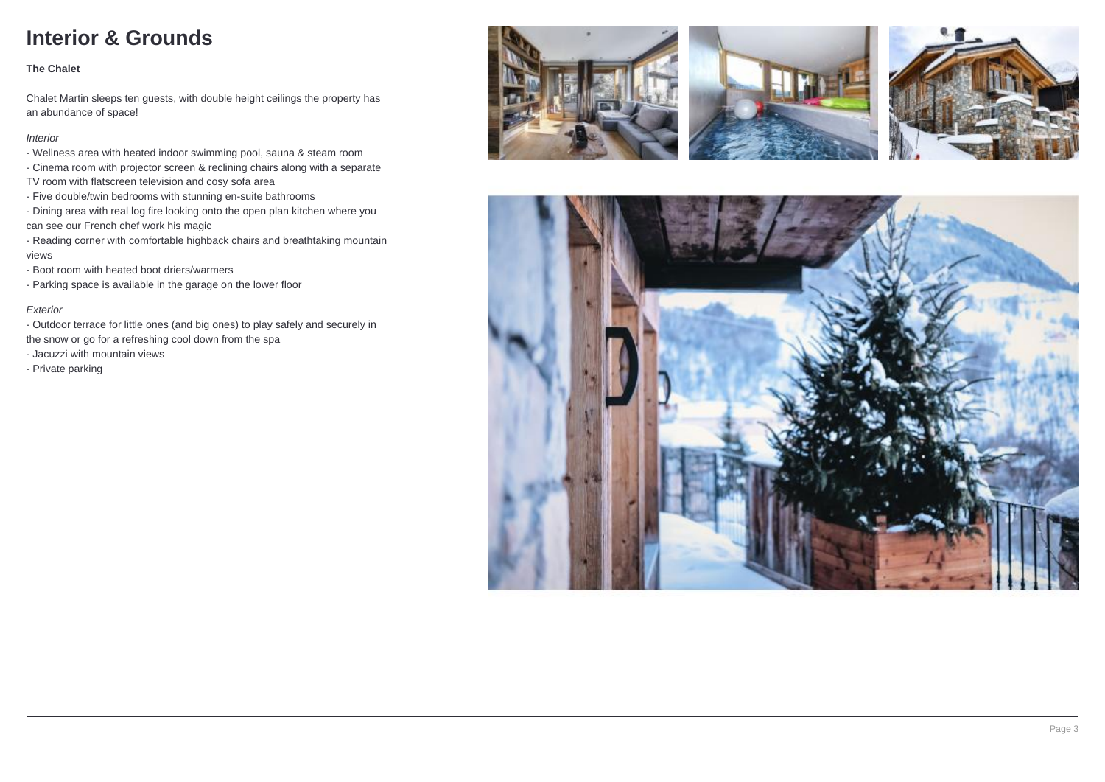## **Interior & Grounds**

#### **The Chalet**

Chalet Martin sleeps ten guests, with double height ceilings the property has an abundance of space!

#### Interior

- Wellness area with heated indoor swimming pool, sauna & steam room
- Cinema room with projector screen & reclining chairs along with a separate
- TV room with flatscreen television and cosy sofa area
- Five double/twin bedrooms with stunning en-suite bathrooms
- Dining area with real log fire looking onto the open plan kitchen where you can see our French chef work his magic
- Reading corner with comfortable highback chairs and breathtaking mountain views
- Boot room with heated boot driers/warmers
- Parking space is available in the garage on the lower floor

#### Exterior

- Outdoor terrace for little ones (and big ones) to play safely and securely in
- the snow or go for a refreshing cool down from the spa
- Jacuzzi with mountain views
- Private parking







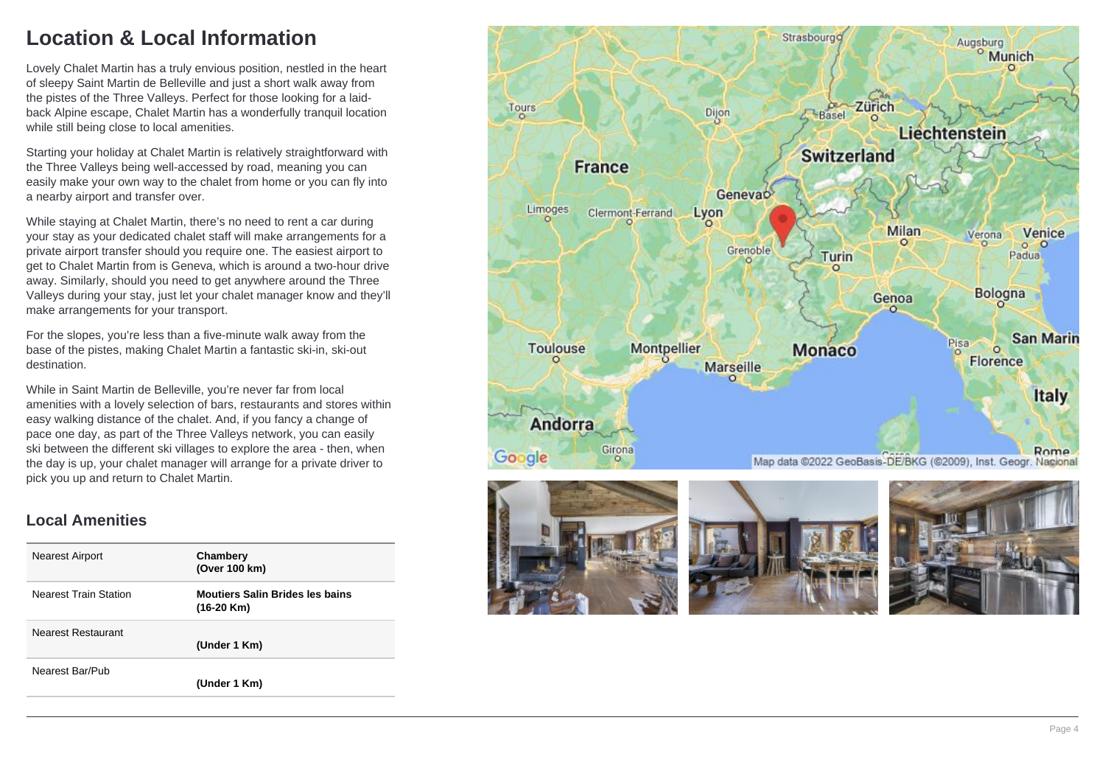## **Location & Local Information**

Lovely Chalet Martin has a truly envious position, nestled in the heart of sleepy Saint Martin de Belleville and just a short walk away from the pistes of the Three Valleys. Perfect for those looking for a laidback Alpine escape, Chalet Martin has a wonderfully tranquil location while still being close to local amenities.

Starting your holiday at Chalet Martin is relatively straightforward with the Three Valleys being well-accessed by road, meaning you can easily make your own way to the chalet from home or you can fly into a nearby airport and transfer over.

While staying at Chalet Martin, there's no need to rent a car during your stay as your dedicated chalet staff will make arrangements for a private airport transfer should you require one. The easiest airport to get to Chalet Martin from is Geneva, which is around a two-hour drive away. Similarly, should you need to get anywhere around the Three Valleys during your stay, just let your chalet manager know and they'll make arrangements for your transport.

For the slopes, you're less than a five-minute walk away from the base of the pistes, making Chalet Martin a fantastic ski-in, ski-out destination.

While in Saint Martin de Belleville, you're never far from local amenities with a lovely selection of bars, restaurants and stores within easy walking distance of the chalet. And, if you fancy a change of pace one day, as part of the Three Valleys network, you can easily ski between the different ski villages to explore the area - then, when the day is up, your chalet manager will arrange for a private driver to pick you up and return to Chalet Martin.

#### **Local Amenities**

| <b>Nearest Airport</b>       | Chambery<br>(Over 100 km)                              |
|------------------------------|--------------------------------------------------------|
| <b>Nearest Train Station</b> | <b>Moutiers Salin Brides les bains</b><br>$(16-20$ Km) |
| Nearest Restaurant           | (Under 1 Km)                                           |
| Nearest Bar/Pub              | (Under 1 Km)                                           |



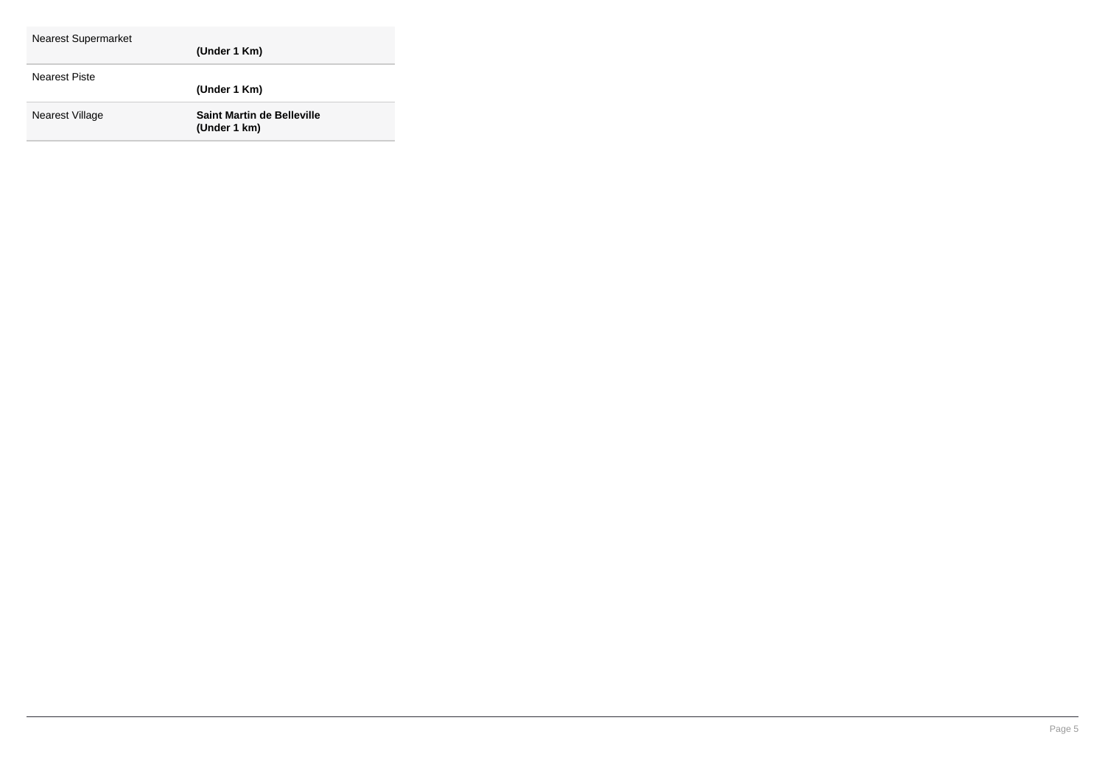| <b>Nearest Supermarket</b> | (Under 1 Km)                                      |
|----------------------------|---------------------------------------------------|
| <b>Nearest Piste</b>       | (Under 1 Km)                                      |
| Nearest Village            | <b>Saint Martin de Belleville</b><br>(Under 1 km) |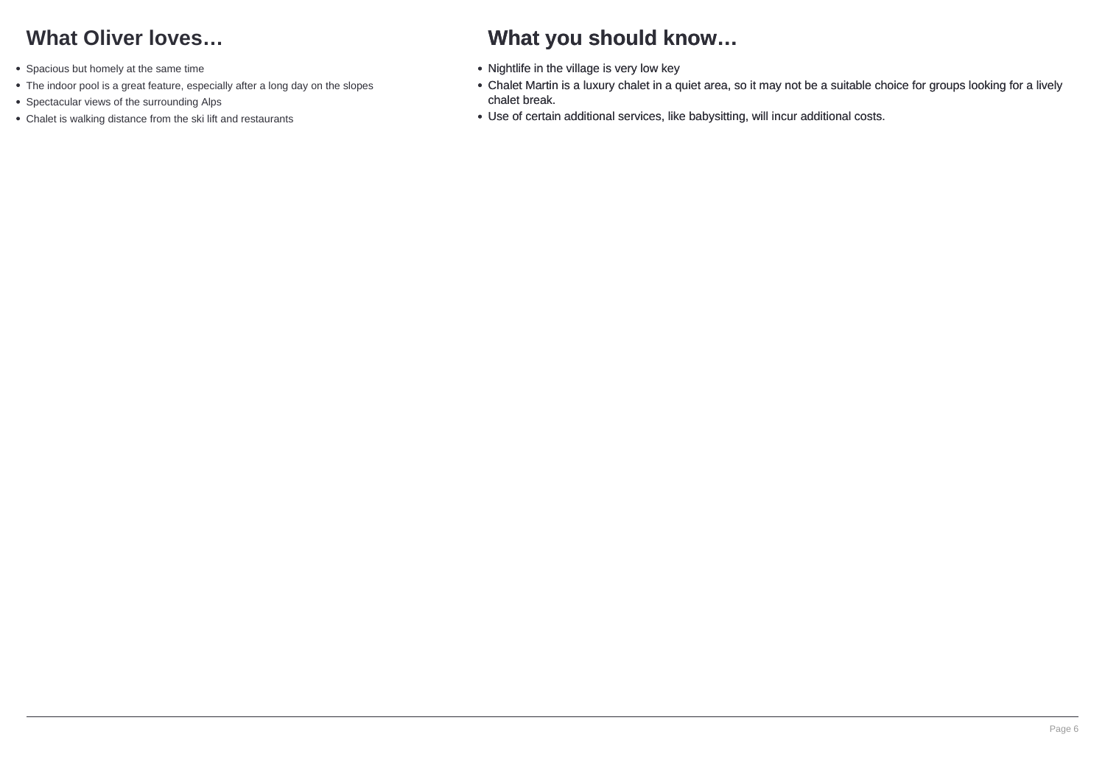## **What Oliver loves…**

- Spacious but homely at the same time
- The indoor pool is a great feature, especially after a long day on the slopes
- Spectacular views of the surrounding Alps
- Chalet is walking distance from the ski lift and restaurants

## **What you should know…**

- Nightlife in the village is very low key
- Chalet Martin is a luxury chalet in a quiet area, so it may not be a suitable choice for groups looking for a lively chalet break.
- Use of certain additional services, like babysitting, will incur additional costs.